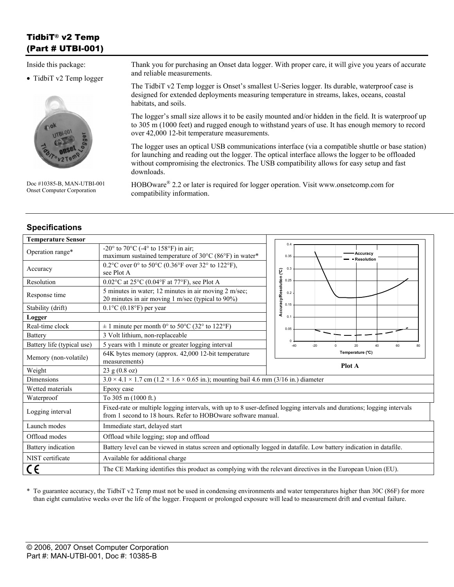# TidbiT® v2 Temp (Part # UTBI-001)

Inside this package:

• TidbiT v2 Temp logger



Doc #10385-B, MAN-UTBI-001 Onset Computer Corporation

**Specifications** 

Thank you for purchasing an Onset data logger. With proper care, it will give you years of accurate and reliable measurements.

The TidbiT v2 Temp logger is Onset's smallest U-Series logger. Its durable, waterproof case is designed for extended deployments measuring temperature in streams, lakes, oceans, coastal habitats, and soils.

The logger's small size allows it to be easily mounted and/or hidden in the field. It is waterproof up to 305 m (1000 feet) and rugged enough to withstand years of use. It has enough memory to record over 42,000 12-bit temperature measurements.

The logger uses an optical USB communications interface (via a compatible shuttle or base station) for launching and reading out the logger. The optical interface allows the logger to be offloaded without compromising the electronics. The USB compatibility allows for easy setup and fast downloads.

HOBOware® 2.2 or later is required for logger operation. Visit www.onsetcomp.com for compatibility information.

| <b>Temperature Sensor</b>  |                                                                                                                                                                                         |                                                    |  |
|----------------------------|-----------------------------------------------------------------------------------------------------------------------------------------------------------------------------------------|----------------------------------------------------|--|
| Operation range*           | -20 $\degree$ to 70 $\degree$ C (-4 $\degree$ to 158 $\degree$ F) in air;<br>maximum sustained temperature of 30°C (86°F) in water*                                                     | 0.4<br>Accuracy<br>0.35<br>Resolution              |  |
| Accuracy                   | 0.2°C over 0° to 50°C (0.36°F over 32° to 122°F),<br>see Plot A                                                                                                                         | 0.3                                                |  |
| Resolution                 | $0.02$ °C at 25°C (0.04°F at 77°F), see Plot A                                                                                                                                          | 0.25                                               |  |
| Response time              | 5 minutes in water; 12 minutes in air moving 2 m/sec;<br>20 minutes in air moving 1 m/sec (typical to 90%)                                                                              | Accuracy/Resolution (°C)<br>0.2                    |  |
| Stability (drift)          | $0.1$ °C $(0.18$ °F) per year                                                                                                                                                           | 0.15                                               |  |
| Logger<br>0.1              |                                                                                                                                                                                         |                                                    |  |
| Real-time clock            | $\pm$ 1 minute per month 0° to 50°C (32° to 122°F)                                                                                                                                      | 0.05                                               |  |
| <b>Battery</b>             | 3 Volt lithium, non-replaceable                                                                                                                                                         |                                                    |  |
| Battery life (typical use) | 5 years with 1 minute or greater logging interval                                                                                                                                       | $-40$<br>$-20$<br>20<br>40<br>60<br>80<br>$\Omega$ |  |
| Memory (non-volatile)      | 64K bytes memory (approx. 42,000 12-bit temperature                                                                                                                                     | Temperature (°C)                                   |  |
|                            | measurements)                                                                                                                                                                           |                                                    |  |
| Weight                     | 23 g (0.8 oz)                                                                                                                                                                           | Plot A                                             |  |
| Dimensions                 | $3.0 \times 4.1 \times 1.7$ cm (1.2 $\times$ 1.6 $\times$ 0.65 in.); mounting bail 4.6 mm (3/16 in.) diameter                                                                           |                                                    |  |
| Wetted materials           | Epoxy case                                                                                                                                                                              |                                                    |  |
| Waterproof                 | To 305 m (1000 ft.)                                                                                                                                                                     |                                                    |  |
| Logging interval           | Fixed-rate or multiple logging intervals, with up to 8 user-defined logging intervals and durations; logging intervals<br>from 1 second to 18 hours. Refer to HOBOware software manual. |                                                    |  |
| Launch modes               | Immediate start, delayed start                                                                                                                                                          |                                                    |  |
| Offload modes              | Offload while logging; stop and offload                                                                                                                                                 |                                                    |  |
| Battery indication         | Battery level can be viewed in status screen and optionally logged in datafile. Low battery indication in datafile.                                                                     |                                                    |  |
| NIST certificate           | Available for additional charge                                                                                                                                                         |                                                    |  |

\* To guarantee accuracy, the TidbiT v2 Temp must not be used in condensing environments and water temperatures higher than 30C (86F) for more than eight cumulative weeks over the life of the logger. Frequent or prolonged exposure will lead to measurement drift and eventual failure.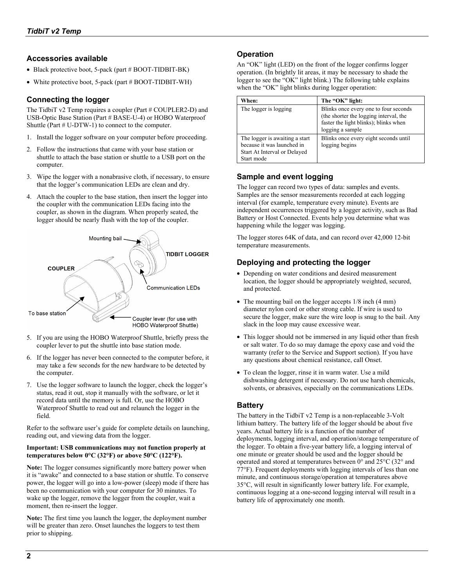#### **Accessories available**

- Black protective boot, 5-pack (part # BOOT-TIDBIT-BK)
- White protective boot, 5-pack (part # BOOT-TIDBIT-WH)

## **Connecting the logger**

The TidbiT v2 Temp requires a coupler (Part # COUPLER2-D) and USB-Optic Base Station (Part # BASE-U-4) or HOBO Waterproof Shuttle (Part # U-DTW-1) to connect to the computer.

- 1. Install the logger software on your computer before proceeding.
- 2. Follow the instructions that came with your base station or shuttle to attach the base station or shuttle to a USB port on the computer.
- 3. Wipe the logger with a nonabrasive cloth, if necessary, to ensure that the logger's communication LEDs are clean and dry.
- 4. Attach the coupler to the base station, then insert the logger into the coupler with the communication LEDs facing into the coupler, as shown in the diagram. When properly seated, the logger should be nearly flush with the top of the coupler.



- 5. If you are using the HOBO Waterproof Shuttle, briefly press the coupler lever to put the shuttle into base station mode.
- 6. If the logger has never been connected to the computer before, it may take a few seconds for the new hardware to be detected by the computer.
- 7. Use the logger software to launch the logger, check the logger's status, read it out, stop it manually with the software, or let it record data until the memory is full. Or, use the HOBO Waterproof Shuttle to read out and relaunch the logger in the field.

Refer to the software user's guide for complete details on launching, reading out, and viewing data from the logger.

#### **Important: USB communications may not function properly at temperatures below 0°C (32°F) or above 50°C (122°F).**

**Note:** The logger consumes significantly more battery power when it is "awake" and connected to a base station or shuttle. To conserve power, the logger will go into a low-power (sleep) mode if there has been no communication with your computer for 30 minutes. To wake up the logger, remove the logger from the coupler, wait a moment, then re-insert the logger.

**Note:** The first time you launch the logger, the deployment number will be greater than zero. Onset launches the loggers to test them prior to shipping.

## **Operation**

An "OK" light (LED) on the front of the logger confirms logger operation. (In brightly lit areas, it may be necessary to shade the logger to see the "OK" light blink.) The following table explains when the "OK" light blinks during logger operation:

| When:                                                                                                      | The "OK" light:                                                                                                                              |
|------------------------------------------------------------------------------------------------------------|----------------------------------------------------------------------------------------------------------------------------------------------|
| The logger is logging                                                                                      | Blinks once every one to four seconds<br>(the shorter the logging interval, the<br>faster the light blinks); blinks when<br>logging a sample |
| The logger is awaiting a start<br>because it was launched in<br>Start At Interval or Delayed<br>Start mode | Blinks once every eight seconds until<br>logging begins                                                                                      |

## **Sample and event logging**

The logger can record two types of data: samples and events. Samples are the sensor measurements recorded at each logging interval (for example, temperature every minute). Events are independent occurrences triggered by a logger activity, such as Bad Battery or Host Connected. Events help you determine what was happening while the logger was logging.

The logger stores 64K of data, and can record over 42,000 12-bit temperature measurements.

## **Deploying and protecting the logger**

- Depending on water conditions and desired measurement location, the logger should be appropriately weighted, secured, and protected.
- The mounting bail on the logger accepts  $1/8$  inch (4 mm) diameter nylon cord or other strong cable. If wire is used to secure the logger, make sure the wire loop is snug to the bail. Any slack in the loop may cause excessive wear.
- This logger should not be immersed in any liquid other than fresh or salt water. To do so may damage the epoxy case and void the warranty (refer to the Service and Support section). If you have any questions about chemical resistance, call Onset.
- To clean the logger, rinse it in warm water. Use a mild dishwashing detergent if necessary. Do not use harsh chemicals, solvents, or abrasives, especially on the communications LEDs.

## **Battery**

The battery in the TidbiT v2 Temp is a non-replaceable 3-Volt lithium battery. The battery life of the logger should be about five years. Actual battery life is a function of the number of deployments, logging interval, and operation/storage temperature of the logger. To obtain a five-year battery life, a logging interval of one minute or greater should be used and the logger should be operated and stored at temperatures between 0° and 25°C (32° and 77°F). Frequent deployments with logging intervals of less than one minute, and continuous storage/operation at temperatures above 35°C, will result in significantly lower battery life. For example, continuous logging at a one-second logging interval will result in a battery life of approximately one month.